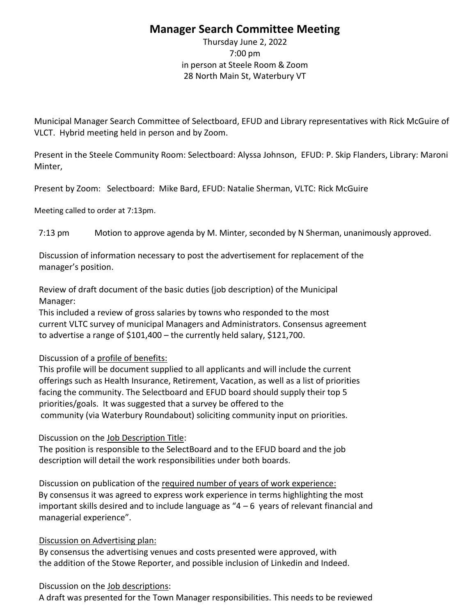## **Manager Search Committee Meeting**

Thursday June 2, 2022 7:00 pm in person at Steele Room & Zoom 28 North Main St, Waterbury VT

Municipal Manager Search Committee of Selectboard, EFUD and Library representatives with Rick McGuire of VLCT. Hybrid meeting held in person and by Zoom.

Present in the Steele Community Room: Selectboard: Alyssa Johnson, EFUD: P. Skip Flanders, Library: Maroni Minter,

Present by Zoom: Selectboard: Mike Bard, EFUD: Natalie Sherman, VLTC: Rick McGuire

Meeting called to order at 7:13pm.

7:13 pm Motion to approve agenda by M. Minter, seconded by N Sherman, unanimously approved.

Discussion of information necessary to post the advertisement for replacement of the manager's position.

Review of draft document of the basic duties (job description) of the Municipal Manager:

This included a review of gross salaries by towns who responded to the most current VLTC survey of municipal Managers and Administrators. Consensus agreement to advertise a range of \$101,400 – the currently held salary, \$121,700.

## Discussion of a profile of benefits:

This profile will be document supplied to all applicants and will include the current offerings such as Health Insurance, Retirement, Vacation, as well as a list of priorities facing the community. The Selectboard and EFUD board should supply their top 5 priorities/goals. It was suggested that a survey be offered to the community (via Waterbury Roundabout) soliciting community input on priorities.

Discussion on the Job Description Title:

The position is responsible to the SelectBoard and to the EFUD board and the job description will detail the work responsibilities under both boards.

Discussion on publication of the required number of years of work experience: By consensus it was agreed to express work experience in terms highlighting the most important skills desired and to include language as "4 – 6 years of relevant financial and managerial experience".

## Discussion on Advertising plan:

By consensus the advertising venues and costs presented were approved, with the addition of the Stowe Reporter, and possible inclusion of Linkedin and Indeed.

Discussion on the Job descriptions:

A draft was presented for the Town Manager responsibilities. This needs to be reviewed